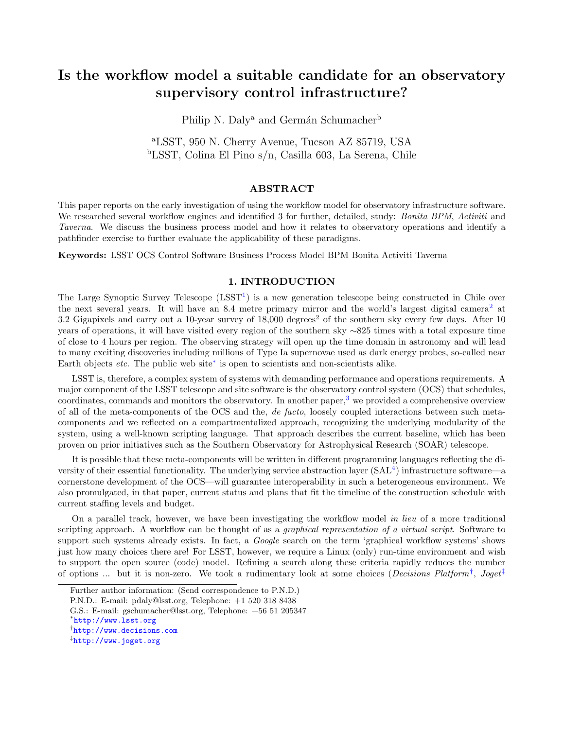# Is the workflow model a suitable candidate for an observatory supervisory control infrastructure?

Philip N. Daly<sup>a</sup> and Germán Schumacher<sup>b</sup>

<sup>a</sup>LSST, 950 N. Cherry Avenue, Tucson AZ 85719, USA <sup>b</sup>LSST, Colina El Pino s/n, Casilla 603, La Serena, Chile

### ABSTRACT

This paper reports on the early investigation of using the workflow model for observatory infrastructure software. We researched several workflow engines and identified 3 for further, detailed, study: *Bonita BPM, Activiti* and Taverna. We discuss the business process model and how it relates to observatory operations and identify a pathfinder exercise to further evaluate the applicability of these paradigms.

Keywords: LSST OCS Control Software Business Process Model BPM Bonita Activiti Taverna

# 1. INTRODUCTION

The Large Synoptic Survey Telescope  $(LSST<sup>1</sup>)$  $(LSST<sup>1</sup>)$  $(LSST<sup>1</sup>)$  is a new generation telescope being constructed in Chile over the next several years. It will have an 8.4 metre primary mirror and the world's largest digital camera<sup>[2](#page-6-1)</sup> at 3.2 Gigapixels and carry out a 10-year survey of  $18,000$  degrees<sup>2</sup> of the southern sky every few days. After 10 years of operations, it will have visited every region of the southern sky ∼825 times with a total exposure time of close to 4 hours per region. The observing strategy will open up the time domain in astronomy and will lead to many exciting discoveries including millions of Type Ia supernovae used as dark energy probes, so-called near Earth objects etc. The public web site[∗](#page-0-0) is open to scientists and non-scientists alike.

LSST is, therefore, a complex system of systems with demanding performance and operations requirements. A major component of the LSST telescope and site software is the observatory control system (OCS) that schedules, coordinates, commands and monitors the observatory. In another paper,<sup>[3](#page-6-2)</sup> we provided a comprehensive overview of all of the meta-components of the OCS and the, de facto, loosely coupled interactions between such metacomponents and we reflected on a compartmentalized approach, recognizing the underlying modularity of the system, using a well-known scripting language. That approach describes the current baseline, which has been proven on prior initiatives such as the Southern Observatory for Astrophysical Research (SOAR) telescope.

It is possible that these meta-components will be written in different programming languages reflecting the diversity of their essential functionality. The underlying service abstraction layer  $(SAL<sup>4</sup>)$  $(SAL<sup>4</sup>)$  $(SAL<sup>4</sup>)$  infrastructure software—a cornerstone development of the OCS—will guarantee interoperability in such a heterogeneous environment. We also promulgated, in that paper, current status and plans that fit the timeline of the construction schedule with current staffing levels and budget.

On a parallel track, however, we have been investigating the workflow model in lieu of a more traditional scripting approach. A workflow can be thought of as a *graphical representation of a virtual script*. Software to support such systems already exists. In fact, a *Google* search on the term 'graphical workflow systems' shows just how many choices there are! For LSST, however, we require a Linux (only) run-time environment and wish to support the open source (code) model. Refining a search along these criteria rapidly reduces the number of options ... but it is non-zero. We took a rudimentary look at some choices (*Decisions Platform*<sup>[†](#page-0-1)</sup>, *Joget*<sup>[‡](#page-0-2)</sup>

Further author information: (Send correspondence to P.N.D.)

P.N.D.: E-mail: pdaly@lsst.org, Telephone: +1 520 318 8438

G.S.: E-mail: gschumacher@lsst.org, Telephone: +56 51 205347

<span id="page-0-0"></span><sup>∗</sup> <http://www.lsst.org>

<span id="page-0-1"></span><sup>†</sup> <http://www.decisions.com>

<span id="page-0-2"></span><sup>‡</sup> <http://www.joget.org>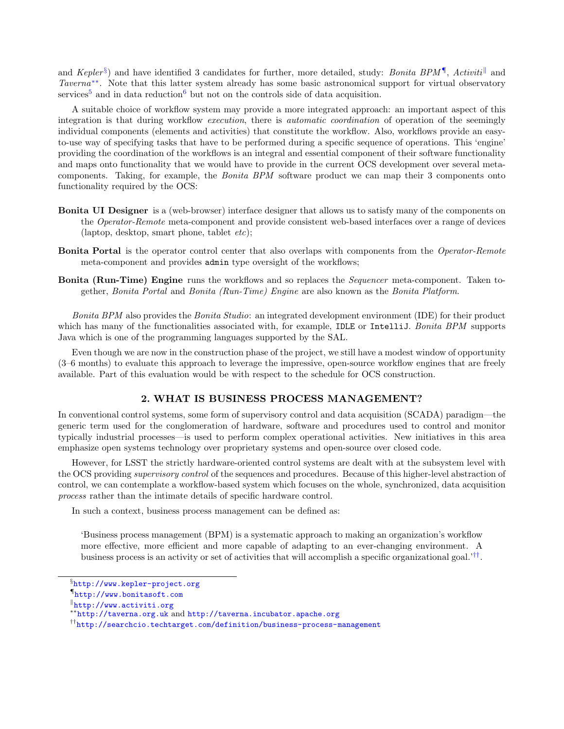and Kepler<sup>[§](#page-1-0)</sup>) and have identified 3 candidates for further, more detailed, study: *Bonita BPM*<sup>[¶](#page-1-1)</sup>, Activiti<sup>||</sup> and Taverna<sup>[∗∗](#page-1-3)</sup>. Note that this latter system already has some basic astronomical support for virtual observatory services<sup>[5](#page-6-4)</sup> and in data reduction<sup>[6](#page-6-5)</sup> but not on the controls side of data acquisition.

A suitable choice of workflow system may provide a more integrated approach: an important aspect of this integration is that during workflow *execution*, there is *automatic coordination* of operation of the seemingly individual components (elements and activities) that constitute the workflow. Also, workflows provide an easyto-use way of specifying tasks that have to be performed during a specific sequence of operations. This 'engine' providing the coordination of the workflows is an integral and essential component of their software functionality and maps onto functionality that we would have to provide in the current OCS development over several metacomponents. Taking, for example, the Bonita BPM software product we can map their 3 components onto functionality required by the OCS:

- Bonita UI Designer is a (web-browser) interface designer that allows us to satisfy many of the components on the Operator-Remote meta-component and provide consistent web-based interfaces over a range of devices  $(laptop, desktop, smart phone, tablet *etc*)$ ;
- **Bonita Portal** is the operator control center that also overlaps with components from the Operator-Remote meta-component and provides admin type oversight of the workflows;
- Bonita (Run-Time) Engine runs the workflows and so replaces the Sequencer meta-component. Taken together, Bonita Portal and Bonita (Run-Time) Engine are also known as the Bonita Platform.

Bonita BPM also provides the Bonita Studio: an integrated development environment (IDE) for their product which has many of the functionalities associated with, for example, IDLE or IntelliJ. Bonita BPM supports Java which is one of the programming languages supported by the SAL.

Even though we are now in the construction phase of the project, we still have a modest window of opportunity (3–6 months) to evaluate this approach to leverage the impressive, open-source workflow engines that are freely available. Part of this evaluation would be with respect to the schedule for OCS construction.

## 2. WHAT IS BUSINESS PROCESS MANAGEMENT?

In conventional control systems, some form of supervisory control and data acquisition (SCADA) paradigm—the generic term used for the conglomeration of hardware, software and procedures used to control and monitor typically industrial processes—is used to perform complex operational activities. New initiatives in this area emphasize open systems technology over proprietary systems and open-source over closed code.

However, for LSST the strictly hardware-oriented control systems are dealt with at the subsystem level with the OCS providing *supervisory control* of the sequences and procedures. Because of this higher-level abstraction of control, we can contemplate a workflow-based system which focuses on the whole, synchronized, data acquisition process rather than the intimate details of specific hardware control.

In such a context, business process management can be defined as:

'Business process management (BPM) is a systematic approach to making an organization's workflow more effective, more efficient and more capable of adapting to an ever-changing environment. A business process is an activity or set of activities that will accomplish a specific organizational goal.'<sup>[††](#page-1-4)</sup>.

<span id="page-1-0"></span><sup>§</sup> <http://www.kepler-project.org>

<span id="page-1-1"></span><sup>¶</sup> <http://www.bonitasoft.com>

<span id="page-1-2"></span> $\mathbb{I}$ <http://www.activiti.org>

<span id="page-1-3"></span><sup>∗∗</sup><http://taverna.org.uk> and <http://taverna.incubator.apache.org>

<span id="page-1-4"></span><sup>††</sup><http://searchcio.techtarget.com/definition/business-process-management>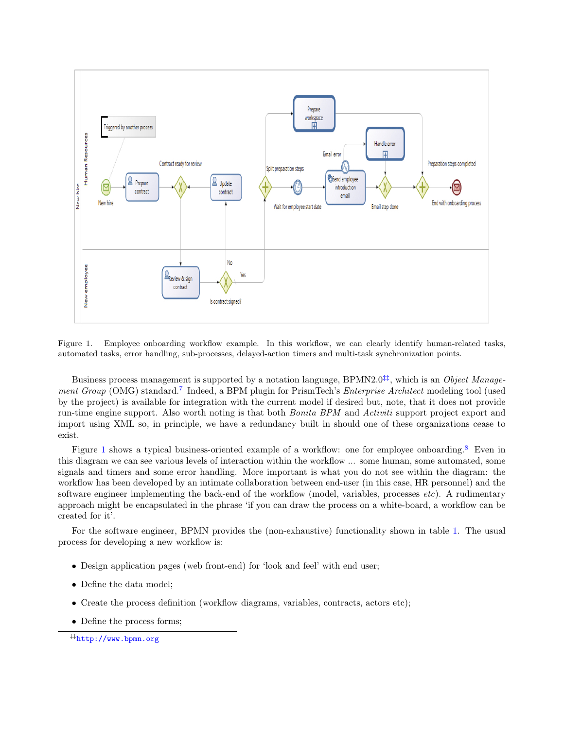

<span id="page-2-1"></span>Figure 1. Employee onboarding workflow example. In this workflow, we can clearly identify human-related tasks, automated tasks, error handling, sub-processes, delayed-action timers and multi-task synchronization points.

Business process management is supported by a notation language, BPMN2.0<sup>[‡‡](#page-2-0)</sup>, which is an Object Manage-ment Group (OMG) standard.<sup>[7](#page-6-6)</sup> Indeed, a BPM plugin for PrismTech's Enterprise Architect modeling tool (used by the project) is available for integration with the current model if desired but, note, that it does not provide run-time engine support. Also worth noting is that both *Bonita BPM* and *Activiti* support project export and import using XML so, in principle, we have a redundancy built in should one of these organizations cease to exist.

Figure [1](#page-2-1) shows a typical business-oriented example of a workflow: one for employee onboarding.<sup>[8](#page-6-7)</sup> Even in this diagram we can see various levels of interaction within the workflow ... some human, some automated, some signals and timers and some error handling. More important is what you do not see within the diagram: the workflow has been developed by an intimate collaboration between end-user (in this case, HR personnel) and the software engineer implementing the back-end of the workflow (model, variables, processes etc). A rudimentary approach might be encapsulated in the phrase 'if you can draw the process on a white-board, a workflow can be created for it'.

For the software engineer, BPMN provides the (non-exhaustive) functionality shown in table [1.](#page-3-0) The usual process for developing a new workflow is:

- Design application pages (web front-end) for 'look and feel' with end user;
- Define the data model;
- Create the process definition (workflow diagrams, variables, contracts, actors etc);
- Define the process forms;

<span id="page-2-0"></span><sup>‡‡</sup><http://www.bpmn.org>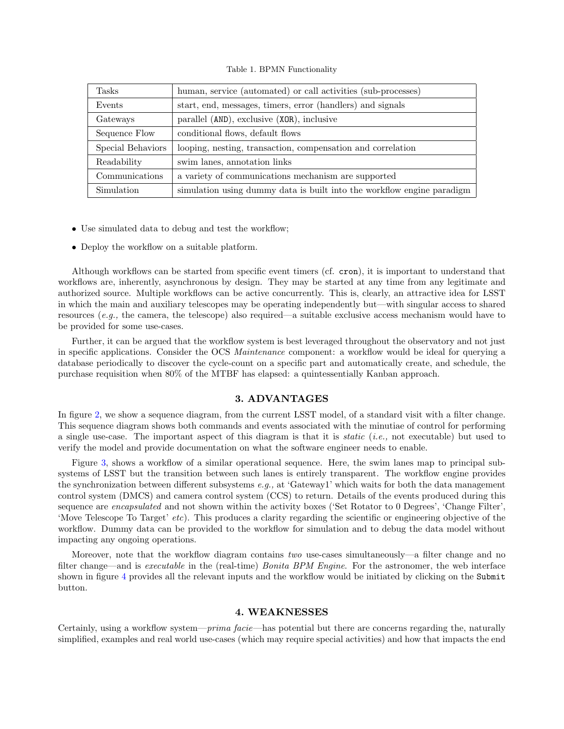<span id="page-3-0"></span>Table 1. BPMN Functionality

| Tasks             | human, service (automated) or call activities (sub-processes)          |  |  |  |  |
|-------------------|------------------------------------------------------------------------|--|--|--|--|
| Events            | start, end, messages, timers, error (handlers) and signals             |  |  |  |  |
| Gateways          | parallel (AND), exclusive (XOR), inclusive                             |  |  |  |  |
| Sequence Flow     | conditional flows, default flows                                       |  |  |  |  |
| Special Behaviors | looping, nesting, transaction, compensation and correlation            |  |  |  |  |
| Readability       | swim lanes, annotation links                                           |  |  |  |  |
| Communications    | a variety of communications mechanism are supported                    |  |  |  |  |
| Simulation        | simulation using dummy data is built into the workflow engine paradigm |  |  |  |  |

- Use simulated data to debug and test the workflow;
- Deploy the workflow on a suitable platform.

Although workflows can be started from specific event timers (cf. cron), it is important to understand that workflows are, inherently, asynchronous by design. They may be started at any time from any legitimate and authorized source. Multiple workflows can be active concurrently. This is, clearly, an attractive idea for LSST in which the main and auxiliary telescopes may be operating independently but—with singular access to shared resources (e.g., the camera, the telescope) also required—a suitable exclusive access mechanism would have to be provided for some use-cases.

Further, it can be argued that the workflow system is best leveraged throughout the observatory and not just in specific applications. Consider the OCS *Maintenance* component: a workflow would be ideal for querying a database periodically to discover the cycle-count on a specific part and automatically create, and schedule, the purchase requisition when 80% of the MTBF has elapsed: a quintessentially Kanban approach.

#### 3. ADVANTAGES

In figure [2,](#page-4-0) we show a sequence diagram, from the current LSST model, of a standard visit with a filter change. This sequence diagram shows both commands and events associated with the minutiae of control for performing a single use-case. The important aspect of this diagram is that it is *static* (*i.e.*, not executable) but used to verify the model and provide documentation on what the software engineer needs to enable.

Figure [3,](#page-5-0) shows a workflow of a similar operational sequence. Here, the swim lanes map to principal subsystems of LSST but the transition between such lanes is entirely transparent. The workflow engine provides the synchronization between different subsystems  $e.g.,$  at 'Gateway1' which waits for both the data management control system (DMCS) and camera control system (CCS) to return. Details of the events produced during this sequence are *encapsulated* and not shown within the activity boxes ('Set Rotator to 0 Degrees', 'Change Filter', 'Move Telescope To Target' etc). This produces a clarity regarding the scientific or engineering objective of the workflow. Dummy data can be provided to the workflow for simulation and to debug the data model without impacting any ongoing operations.

Moreover, note that the workflow diagram contains two use-cases simultaneously—a filter change and no filter change—and is executable in the (real-time) Bonita BPM Engine. For the astronomer, the web interface shown in figure [4](#page-6-8) provides all the relevant inputs and the workflow would be initiated by clicking on the Submit button.

### 4. WEAKNESSES

Certainly, using a workflow system—prima facie—has potential but there are concerns regarding the, naturally simplified, examples and real world use-cases (which may require special activities) and how that impacts the end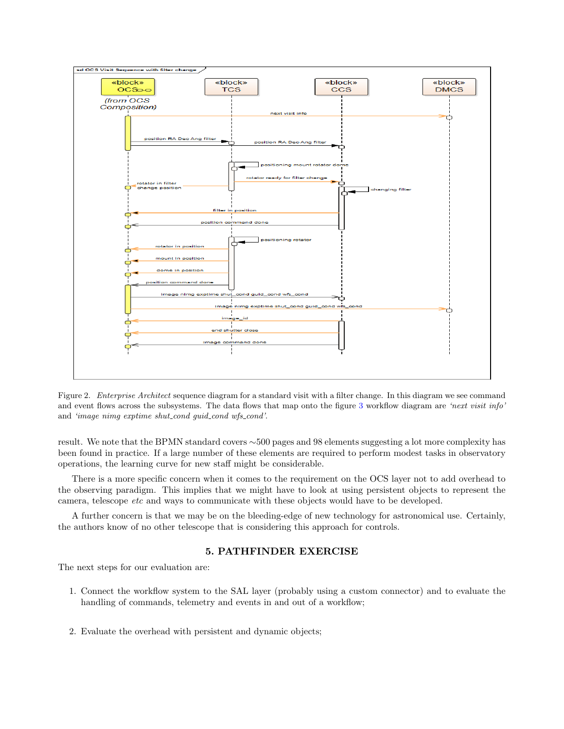

<span id="page-4-0"></span>Figure 2. Enterprise Architect sequence diagram for a standard visit with a filter change. In this diagram we see command and event flows across the subsystems. The data flows that map onto the figure [3](#page-5-0) workflow diagram are 'next visit info' and 'image nimg exptime shut\_cond guid\_cond wfs\_cond'.

result. We note that the BPMN standard covers ∼500 pages and 98 elements suggesting a lot more complexity has been found in practice. If a large number of these elements are required to perform modest tasks in observatory operations, the learning curve for new staff might be considerable.

There is a more specific concern when it comes to the requirement on the OCS layer not to add overhead to the observing paradigm. This implies that we might have to look at using persistent objects to represent the camera, telescope *etc* and ways to communicate with these objects would have to be developed.

A further concern is that we may be on the bleeding-edge of new technology for astronomical use. Certainly, the authors know of no other telescope that is considering this approach for controls.

# 5. PATHFINDER EXERCISE

The next steps for our evaluation are:

- 1. Connect the workflow system to the SAL layer (probably using a custom connector) and to evaluate the handling of commands, telemetry and events in and out of a workflow;
- 2. Evaluate the overhead with persistent and dynamic objects;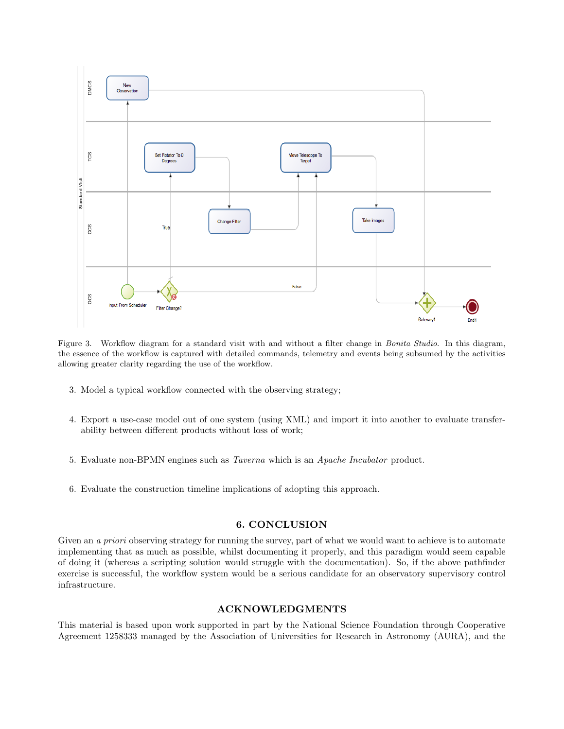

<span id="page-5-0"></span>Figure 3. Workflow diagram for a standard visit with and without a filter change in Bonita Studio. In this diagram, the essence of the workflow is captured with detailed commands, telemetry and events being subsumed by the activities allowing greater clarity regarding the use of the workflow.

- 3. Model a typical workflow connected with the observing strategy;
- 4. Export a use-case model out of one system (using XML) and import it into another to evaluate transferability between different products without loss of work;
- 5. Evaluate non-BPMN engines such as Taverna which is an Apache Incubator product.
- 6. Evaluate the construction timeline implications of adopting this approach.

## 6. CONCLUSION

Given an a priori observing strategy for running the survey, part of what we would want to achieve is to automate implementing that as much as possible, whilst documenting it properly, and this paradigm would seem capable of doing it (whereas a scripting solution would struggle with the documentation). So, if the above pathfinder exercise is successful, the workflow system would be a serious candidate for an observatory supervisory control infrastructure.

## ACKNOWLEDGMENTS

This material is based upon work supported in part by the National Science Foundation through Cooperative Agreement 1258333 managed by the Association of Universities for Research in Astronomy (AURA), and the